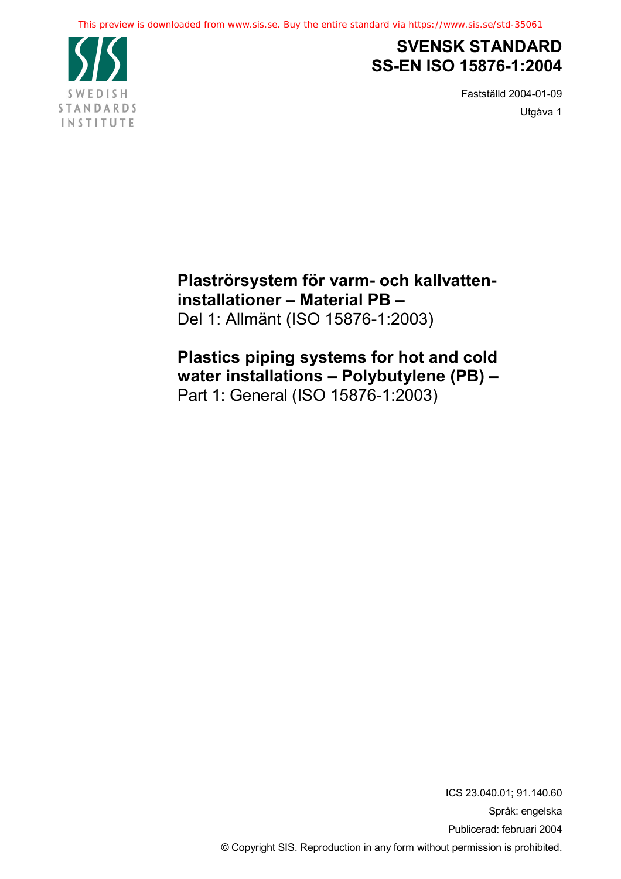

# **SVENSK STANDARD SS-EN ISO 15876-1:2004**

Fastställd 2004-01-09 Utgåva 1

**Plaströrsystem för varm- och kallvatteninstallationer – Material PB –** Del 1: Allmänt (ISO 15876-1:2003)

**Plastics piping systems for hot and cold water installations – Polybutylene (PB) –** Part 1: General (ISO 15876-1:2003)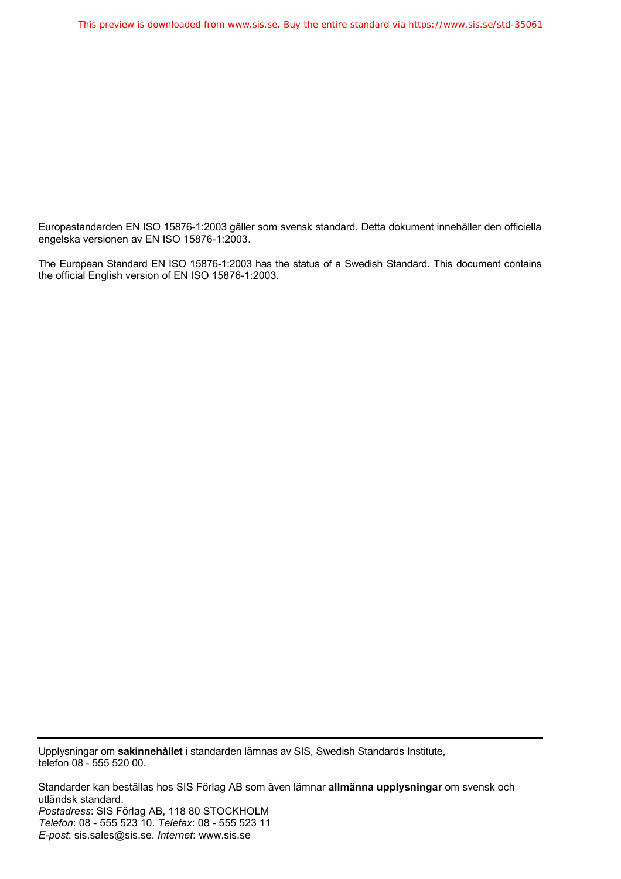Europastandarden EN ISO 15876-1:2003 gäller som svensk standard. Detta dokument innehåller den officiella engelska versionen av EN ISO 15876-1:2003.

The European Standard EN ISO 15876-1:2003 has the status of a Swedish Standard. This document contains the official English version of EN ISO 15876-1:2003.

Upplysningar om **sakinnehållet** i standarden lämnas av SIS, Swedish Standards Institute, telefon 08 - 555 520 00.

Standarder kan beställas hos SIS Förlag AB som även lämnar **allmänna upplysningar** om svensk och utländsk standard. *Postadress*: SIS Förlag AB, 118 80 STOCKHOLM *Telefon*: 08 - 555 523 10. *Telefax*: 08 - 555 523 11 *E-post*: sis.sales@sis.se. *Internet*: www.sis.se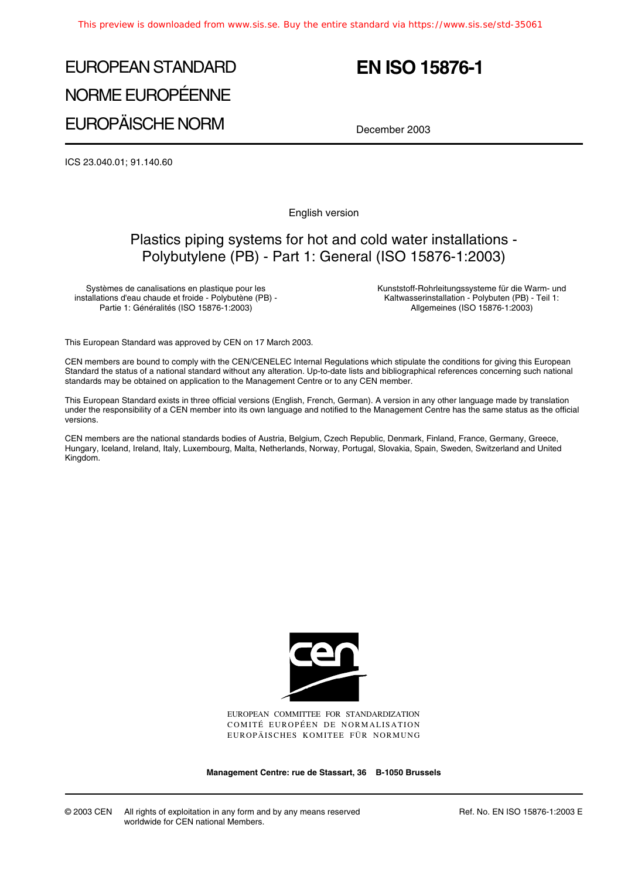# EUROPEAN STANDARD NORME EUROPÉENNE EUROPÄISCHE NORM

# **EN ISO 15876-1**

December 2003

ICS 23.040.01; 91.140.60

English version

# Plastics piping systems for hot and cold water installations - Polybutylene (PB) - Part 1: General (ISO 15876-1:2003)

Systèmes de canalisations en plastique pour les installations d'eau chaude et froide - Polybutène (PB) - Partie 1: Généralités (ISO 15876-1:2003)

Kunststoff-Rohrleitungssysteme für die Warm- und Kaltwasserinstallation - Polybuten (PB) - Teil 1: Allgemeines (ISO 15876-1:2003)

This European Standard was approved by CEN on 17 March 2003.

CEN members are bound to comply with the CEN/CENELEC Internal Regulations which stipulate the conditions for giving this European Standard the status of a national standard without any alteration. Up-to-date lists and bibliographical references concerning such national standards may be obtained on application to the Management Centre or to any CEN member.

This European Standard exists in three official versions (English, French, German). A version in any other language made by translation under the responsibility of a CEN member into its own language and notified to the Management Centre has the same status as the official versions.

CEN members are the national standards bodies of Austria, Belgium, Czech Republic, Denmark, Finland, France, Germany, Greece, Hungary, Iceland, Ireland, Italy, Luxembourg, Malta, Netherlands, Norway, Portugal, Slovakia, Spain, Sweden, Switzerland and United Kingdom.



EUROPEAN COMMITTEE FOR STANDARDIZATION COMITÉ EUROPÉEN DE NORMALISATION EUROPÄISCHES KOMITEE FÜR NORMUNG

**Management Centre: rue de Stassart, 36 B-1050 Brussels**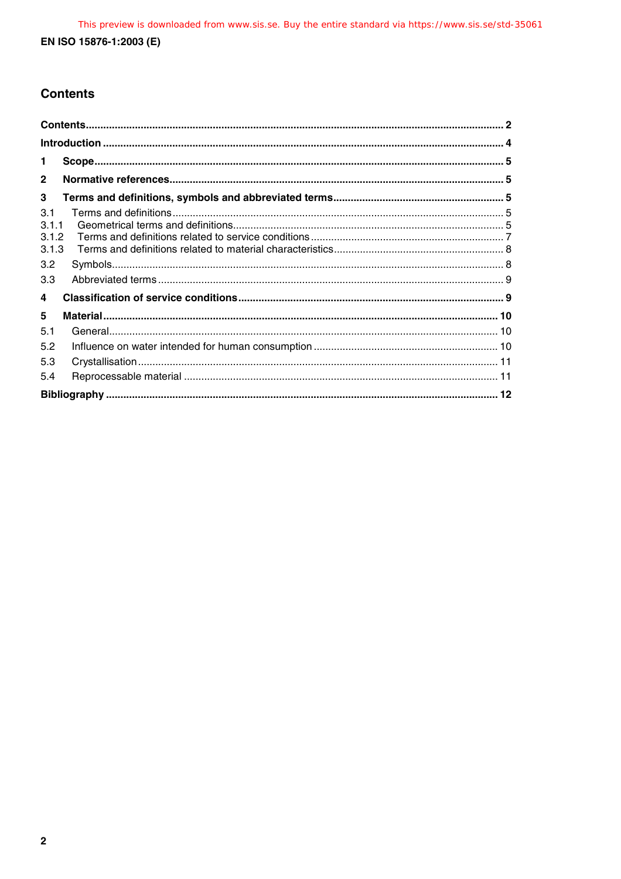# **Contents**

| 1.                             |  |
|--------------------------------|--|
| $\mathbf{2}$                   |  |
| 3                              |  |
| 3.1<br>3.1.1<br>3.1.2<br>3.1.3 |  |
| 3.2                            |  |
| 3.3                            |  |
| 4                              |  |
| 5                              |  |
| 5.1                            |  |
| 5.2                            |  |
| 5.3                            |  |
| 5.4                            |  |
|                                |  |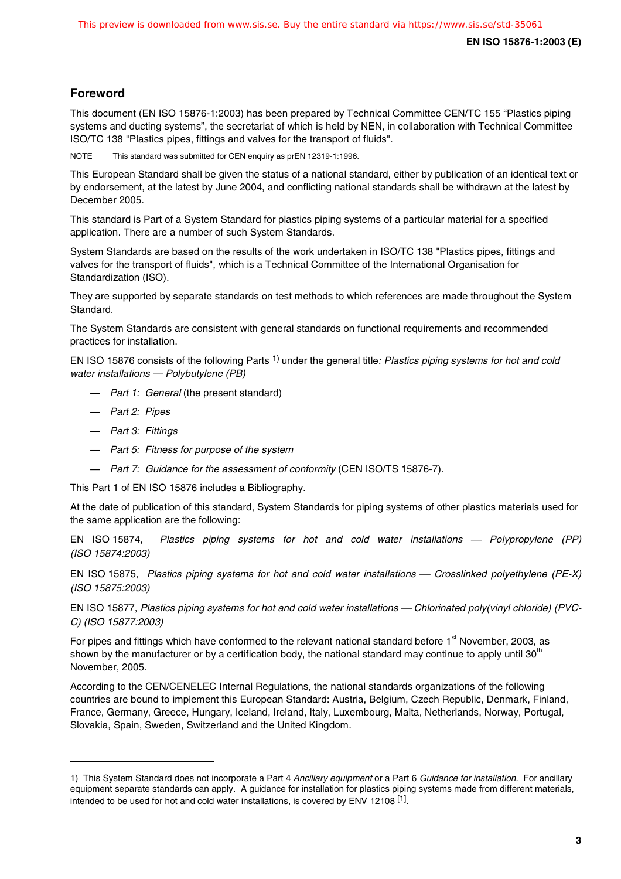# **Foreword**

This document (EN ISO 15876-1:2003) has been prepared by Technical Committee CEN/TC 155 "Plastics piping systems and ducting systems", the secretariat of which is held by NEN, in collaboration with Technical Committee ISO/TC 138 "Plastics pipes, fittings and valves for the transport of fluids".

NOTE This standard was submitted for CEN enquiry as prEN 12319-1:1996.

This European Standard shall be given the status of a national standard, either by publication of an identical text or by endorsement, at the latest by June 2004, and conflicting national standards shall be withdrawn at the latest by December 2005.

This standard is Part of a System Standard for plastics piping systems of a particular material for a specified application. There are a number of such System Standards.

System Standards are based on the results of the work undertaken in ISO/TC 138 "Plastics pipes, fittings and valves for the transport of fluids", which is a Technical Committee of the International Organisation for Standardization (ISO).

They are supported by separate standards on test methods to which references are made throughout the System Standard.

The System Standards are consistent with general standards on functional requirements and recommended practices for installation.

EN ISO 15876 consists of the following Parts <sup>1)</sup> under the general title: Plastics piping systems for hot and cold water installations — Polybutylene (PB)

- Part 1: General (the present standard)
- Part 2: Pipes

1

- Part 3: Fittings
- Part 5: Fitness for purpose of the system
- Part 7: Guidance for the assessment of conformity (CEN ISO/TS 15876-7).

This Part 1 of EN ISO 15876 includes a Bibliography.

At the date of publication of this standard, System Standards for piping systems of other plastics materials used for the same application are the following:

EN ISO 15874, Plastics piping systems for hot and cold water installations - Polypropylene (PP) (ISO 15874:2003)

EN ISO 15875, Plastics piping systems for hot and cold water installations — Crosslinked polyethylene (PE-X) (ISO 15875:2003)

EN ISO 15877, Plastics piping systems for hot and cold water installations — Chlorinated poly(vinyl chloride) (PVC-C) (ISO 15877:2003)

For pipes and fittings which have conformed to the relevant national standard before  $1<sup>st</sup>$  November, 2003, as shown by the manufacturer or by a certification body, the national standard may continue to apply until 30<sup>th</sup> November, 2005.

According to the CEN/CENELEC Internal Regulations, the national standards organizations of the following countries are bound to implement this European Standard: Austria, Belgium, Czech Republic, Denmark, Finland, France, Germany, Greece, Hungary, Iceland, Ireland, Italy, Luxembourg, Malta, Netherlands, Norway, Portugal, Slovakia, Spain, Sweden, Switzerland and the United Kingdom.

<sup>1)</sup> This System Standard does not incorporate a Part 4 Ancillary equipment or a Part 6 Guidance for installation. For ancillary equipment separate standards can apply. A guidance for installation for plastics piping systems made from different materials, intended to be used for hot and cold water installations, is covered by ENV 12108<sup>[1]</sup>.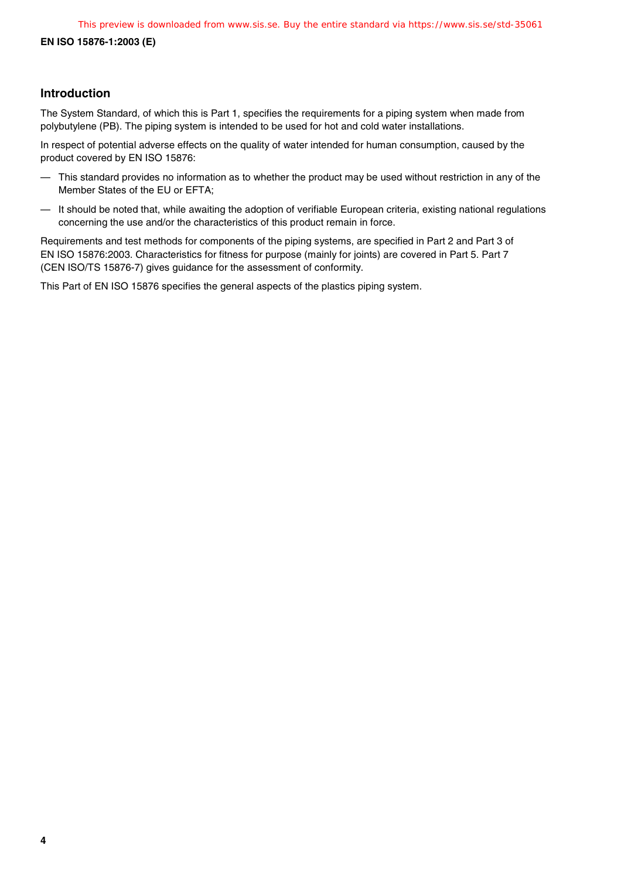**EN ISO 15876-1:2003 (E)**

# **Introduction**

The System Standard, of which this is Part 1, specifies the requirements for a piping system when made from polybutylene (PB). The piping system is intended to be used for hot and cold water installations.

In respect of potential adverse effects on the quality of water intended for human consumption, caused by the product covered by EN ISO 15876:

- This standard provides no information as to whether the product may be used without restriction in any of the Member States of the EU or EFTA;
- It should be noted that, while awaiting the adoption of verifiable European criteria, existing national regulations concerning the use and/or the characteristics of this product remain in force.

Requirements and test methods for components of the piping systems, are specified in Part 2 and Part 3 of EN ISO 15876:2003. Characteristics for fitness for purpose (mainly for joints) are covered in Part 5. Part 7 (CEN ISO/TS 15876-7) gives guidance for the assessment of conformity.

This Part of EN ISO 15876 specifies the general aspects of the plastics piping system.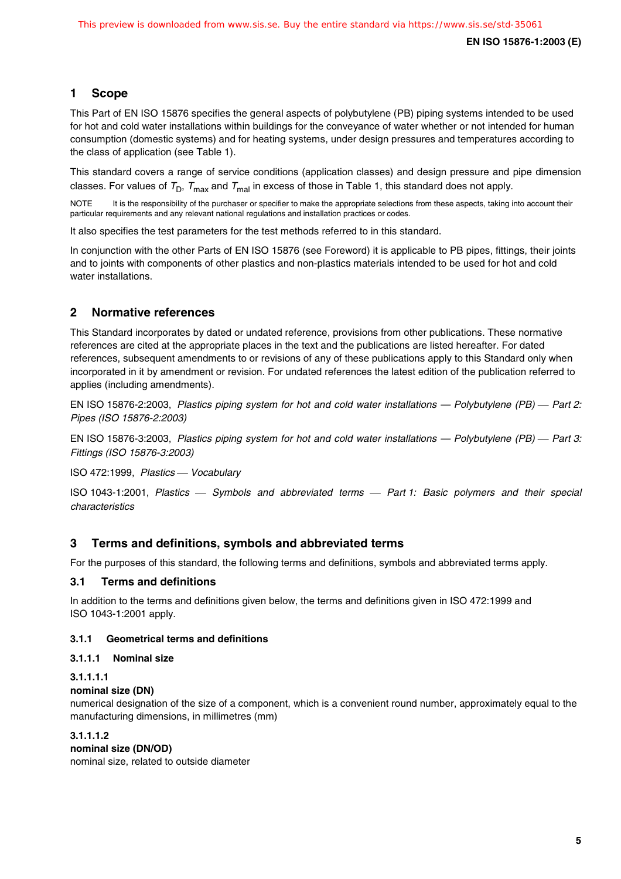# **1 Scope**

This Part of EN ISO 15876 specifies the general aspects of polybutylene (PB) piping systems intended to be used for hot and cold water installations within buildings for the conveyance of water whether or not intended for human consumption (domestic systems) and for heating systems, under design pressures and temperatures according to the class of application (see Table 1).

This standard covers a range of service conditions (application classes) and design pressure and pipe dimension classes. For values of  $T_D$ ,  $T_{max}$  and  $T_{mal}$  in excess of those in Table 1, this standard does not apply.

NOTE It is the responsibility of the purchaser or specifier to make the appropriate selections from these aspects, taking into account their particular requirements and any relevant national regulations and installation practices or codes.

It also specifies the test parameters for the test methods referred to in this standard.

In conjunction with the other Parts of EN ISO 15876 (see Foreword) it is applicable to PB pipes, fittings, their joints and to joints with components of other plastics and non-plastics materials intended to be used for hot and cold water installations.

# **2 Normative references**

This Standard incorporates by dated or undated reference, provisions from other publications. These normative references are cited at the appropriate places in the text and the publications are listed hereafter. For dated references, subsequent amendments to or revisions of any of these publications apply to this Standard only when incorporated in it by amendment or revision. For undated references the latest edition of the publication referred to applies (including amendments).

EN ISO 15876-2:2003, Plastics piping system for hot and cold water installations — Polybutylene (PB) — Part 2: Pipes (ISO 15876-2:2003)

EN ISO 15876-3:2003, Plastics piping system for hot and cold water installations — Polybutylene (PB) — Part 3: Fittings (ISO 15876-3:2003)

ISO 472:1999, Plastics - Vocabulary

ISO 1043-1:2001, Plastics - Symbols and abbreviated terms - Part 1: Basic polymers and their special characteristics

# **3 Terms and definitions, symbols and abbreviated terms**

For the purposes of this standard, the following terms and definitions, symbols and abbreviated terms apply.

# **3.1 Terms and definitions**

In addition to the terms and definitions given below, the terms and definitions given in ISO 472:1999 and ISO 1043-1:2001 apply.

# **3.1.1 Geometrical terms and definitions**

#### **3.1.1.1 Nominal size**

#### **3.1.1.1.1**

#### **nominal size (DN)**

numerical designation of the size of a component, which is a convenient round number, approximately equal to the manufacturing dimensions, in millimetres (mm)

**3.1.1.1.2 nominal size (DN/OD)** nominal size, related to outside diameter